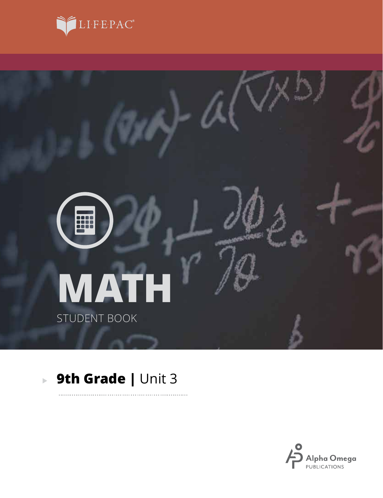



. . . . . . . . .

# **9th Grade |** Unit 3

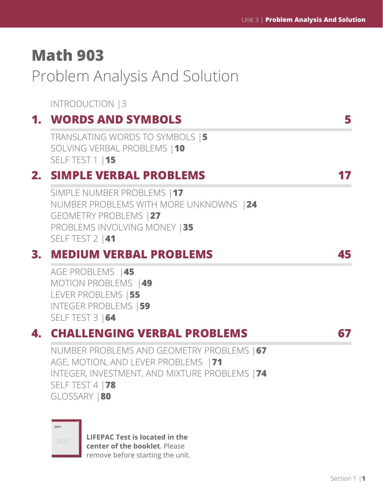# **Math 903**

Problem Analysis And Solution

INTRODUCTION |3

# **1. WORDS AND SYMBOLS 5**

TRANSLATING WORDS TO SYMBOLS |**5** SOLVING VERBAL PROBLEMS |**10** SELF TEST 1 |**15**

### **2. SIMPLE VERBAL PROBLEMS 17**

SIMPLE NUMBER PROBLEMS |**17** NUMBER PROBLEMS WITH MORE UNKNOWNS |**24** GEOMETRY PROBLEMS |**27** PROBLEMS INVOLVING MONEY |**35** SELF TEST 2 |**41**

## **3. MEDIUM VERBAL PROBLEMS 45**

AGE PROBLEMS |**45** MOTION PROBLEMS |**49** LEVER PROBLEMS |**55** INTEGER PROBLEMS |**59** SELF TEST 3 |**64**

## **4. CHALLENGING VERBAL PROBLEMS 67**

NUMBER PROBLEMS AND GEOMETRY PROBLEMS |**67** AGE, MOTION, AND LEVER PROBLEMS |**71** INTEGER, INVESTMENT, AND MIXTURE PROBLEMS |**74** SELF TEST 4 |**78** GLOSSARY |**80**

| × |  |  |
|---|--|--|
|   |  |  |

**LIFEPAC Test is located in the center of the booklet**. Please remove before starting the unit.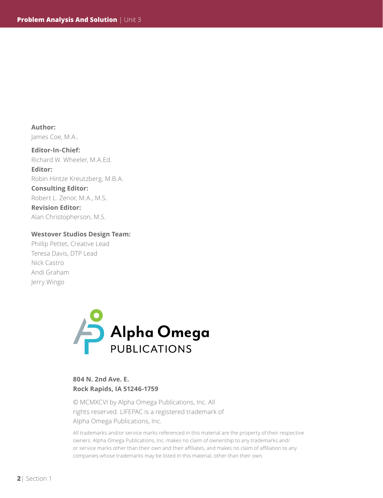**Author:**  James Coe, M.A..

**Editor-In-Chief:** Richard W. Wheeler, M.A.Ed. **Editor:** Robin Hintze Kreutzberg, M.B.A. **Consulting Editor:** Robert L. Zenor, M.A., M.S. **Revision Editor:** Alan Christopherson, M.S.

#### **Westover Studios Design Team:**

Phillip Pettet, Creative Lead Teresa Davis, DTP Lead Nick Castro Andi Graham Jerry Wingo



#### **804 N. 2nd Ave. E. Rock Rapids, IA 51246-1759**

© MCMXCVI by Alpha Omega Publications, Inc. All rights reserved. LIFEPAC is a registered trademark of Alpha Omega Publications, Inc.

All trademarks and/or service marks referenced in this material are the property of their respective owners. Alpha Omega Publications, Inc. makes no claim of ownership to any trademarks and/ or service marks other than their own and their affiliates, and makes no claim of affiliation to any companies whose trademarks may be listed in this material, other than their own.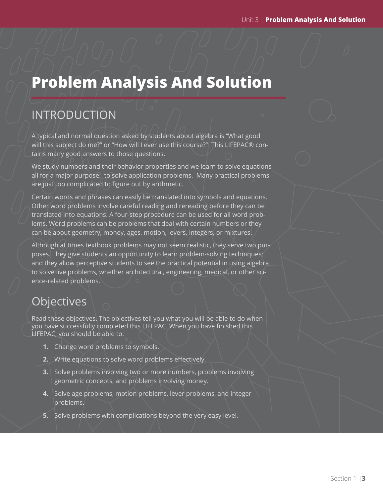# **Problem Analysis And Solution**

# INTRODUCTION

A typical and normal question asked by students about algebra is "What good will this subject do me?" or "How will I ever use this course?" This LIFEPAC® contains many good answers to those questions.

We study numbers and their behavior properties and we learn to solve equations all for a major purpose: to solve application problems. Many practical problems are just too complicated to figure out by arithmetic.

Certain words and phrases can easily be translated into symbols and equations. Other word problems involve careful reading and rereading before they can be translated into equations. A four-step procedure can be used for all word problems. Word problems can be problems that deal with certain numbers or they can be about geometry, money, ages, motion, levers, integers, or mixtures.

Although at times textbook problems may not seem realistic, they serve two purposes. They give students an opportunity to learn problem-solving techniques; and they allow perceptive students to see the practical potential in using algebra to solve live problems, whether architectural, engineering, medical, or other science-related problems.

# **Objectives**

Read these objectives. The objectives tell you what you will be able to do when you have successfully completed this LIFEPAC. When you have finished this LIFEPAC, you should be able to:

- **1.** Change word problems to symbols.
- **2.** Write equations to solve word problems effectively.
- **3.** Solve problems involving two or more numbers, problems involving geometric concepts, and problems involving money.
- **4.** Solve age problems, motion problems, lever problems, and integer problems.
- **5.** Solve problems with complications beyond the very easy level.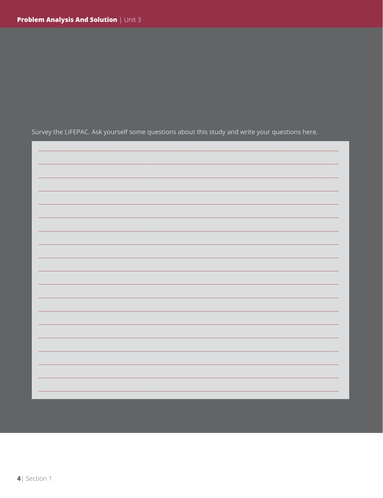Survey the LIFEPAC. Ask yourself some questions about this study and write your questions here.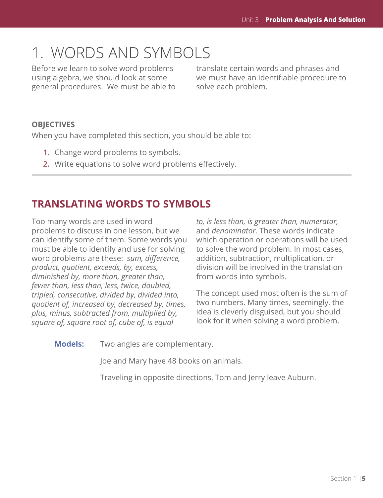# 1. WORDS AND SYMBOLS

Before we learn to solve word problems using algebra, we should look at some general procedures. We must be able to translate certain words and phrases and we must have an identifiable procedure to solve each problem.

### **OBJECTIVES**

When you have completed this section, you should be able to:

- **1.** Change word problems to symbols.
- **2.** Write equations to solve word problems effectively.

### **TRANSLATING WORDS TO SYMBOLS**

Too many words are used in word problems to discuss in one lesson, but we can identify some of them. Some words you must be able to identify and use for solving word problems are these: *sum, difference, product, quotient, exceeds, by, excess, diminished by, more than, greater than, fewer than, less than, less, twice, doubled, tripled, consecutive, divided by, divided into, quotient of, increased by, decreased by, times, plus, minus, subtracted from, multiplied by, square of, square root of, cube of, is equal* 

*to, is less than, is greater than, numerator,*  and *denominator.* These words indicate which operation or operations will be used to solve the word problem. In most cases, addition, subtraction, multiplication, or division will be involved in the translation from words into symbols.

The concept used most often is the sum of two numbers. Many times, seemingly, the idea is cleverly disguised, but you should look for it when solving a word problem.

**Models:** Two angles are complementary.

Joe and Mary have 48 books on animals.

Traveling in opposite directions, Tom and Jerry leave Auburn.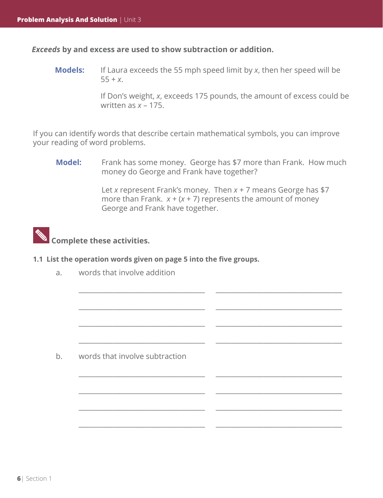*Exceeds* **by and excess are used to show subtraction or addition.**

**Models:** If Laura exceeds the 55 mph speed limit by *x*, then her speed will be  $55 + x$ .

> If Don's weight, *x*, exceeds 175 pounds, the amount of excess could be written as *x* – 175.

If you can identify words that describe certain mathematical symbols, you can improve your reading of word problems.

 $\overline{\phantom{a}}$  ,  $\overline{\phantom{a}}$  ,  $\overline{\phantom{a}}$  ,  $\overline{\phantom{a}}$  ,  $\overline{\phantom{a}}$  ,  $\overline{\phantom{a}}$  ,  $\overline{\phantom{a}}$  ,  $\overline{\phantom{a}}$  ,  $\overline{\phantom{a}}$  ,  $\overline{\phantom{a}}$  ,  $\overline{\phantom{a}}$  ,  $\overline{\phantom{a}}$  ,  $\overline{\phantom{a}}$  ,  $\overline{\phantom{a}}$  ,  $\overline{\phantom{a}}$  ,  $\overline{\phantom{a}}$ 

\_\_\_\_\_\_\_\_\_\_\_\_\_\_\_\_\_\_\_\_\_\_\_\_\_\_\_\_\_\_\_\_\_\_\_\_\_ \_\_\_\_\_\_\_\_\_\_\_\_\_\_\_\_\_\_\_\_\_\_\_\_\_\_\_\_\_\_\_\_\_\_\_\_\_

\_\_\_\_\_\_\_\_\_\_\_\_\_\_\_\_\_\_\_\_\_\_\_\_\_\_\_\_\_\_\_\_\_\_\_\_\_ \_\_\_\_\_\_\_\_\_\_\_\_\_\_\_\_\_\_\_\_\_\_\_\_\_\_\_\_\_\_\_\_\_\_\_\_\_

\_\_\_\_\_\_\_\_\_\_\_\_\_\_\_\_\_\_\_\_\_\_\_\_\_\_\_\_\_\_\_\_\_\_\_\_\_ \_\_\_\_\_\_\_\_\_\_\_\_\_\_\_\_\_\_\_\_\_\_\_\_\_\_\_\_\_\_\_\_\_\_\_\_\_

 $\overline{\phantom{a}}$  ,  $\overline{\phantom{a}}$  ,  $\overline{\phantom{a}}$  ,  $\overline{\phantom{a}}$  ,  $\overline{\phantom{a}}$  ,  $\overline{\phantom{a}}$  ,  $\overline{\phantom{a}}$  ,  $\overline{\phantom{a}}$  ,  $\overline{\phantom{a}}$  ,  $\overline{\phantom{a}}$  ,  $\overline{\phantom{a}}$  ,  $\overline{\phantom{a}}$  ,  $\overline{\phantom{a}}$  ,  $\overline{\phantom{a}}$  ,  $\overline{\phantom{a}}$  ,  $\overline{\phantom{a}}$ 

\_\_\_\_\_\_\_\_\_\_\_\_\_\_\_\_\_\_\_\_\_\_\_\_\_\_\_\_\_\_\_\_\_\_\_\_\_ \_\_\_\_\_\_\_\_\_\_\_\_\_\_\_\_\_\_\_\_\_\_\_\_\_\_\_\_\_\_\_\_\_\_\_\_\_

\_\_\_\_\_\_\_\_\_\_\_\_\_\_\_\_\_\_\_\_\_\_\_\_\_\_\_\_\_\_\_\_\_\_\_\_\_ \_\_\_\_\_\_\_\_\_\_\_\_\_\_\_\_\_\_\_\_\_\_\_\_\_\_\_\_\_\_\_\_\_\_\_\_\_

\_\_\_\_\_\_\_\_\_\_\_\_\_\_\_\_\_\_\_\_\_\_\_\_\_\_\_\_\_\_\_\_\_\_\_\_\_ \_\_\_\_\_\_\_\_\_\_\_\_\_\_\_\_\_\_\_\_\_\_\_\_\_\_\_\_\_\_\_\_\_\_\_\_\_

**Model:** Frank has some money. George has \$7 more than Frank. How much money do George and Frank have together?

> Let *x* represent Frank's money. Then *x* + 7 means George has \$7 more than Frank.  $x + (x + 7)$  represents the amount of money George and Frank have together.

# **Complete these activities.**

- **1.1 List the operation words given on page 5 into the five groups.**
	- a. words that involve addition

b. words that involve subtraction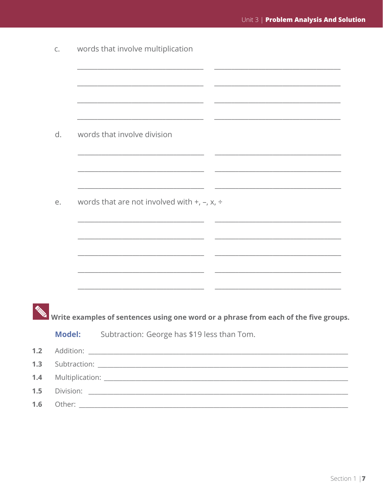|     | C.            | words that involve multiplication                                                    |
|-----|---------------|--------------------------------------------------------------------------------------|
|     |               |                                                                                      |
|     |               |                                                                                      |
|     |               |                                                                                      |
|     | d.            | words that involve division                                                          |
|     |               |                                                                                      |
|     |               |                                                                                      |
|     | е.            | words that are not involved with $+$ , $-$ , $x$ , $\div$                            |
|     |               |                                                                                      |
|     |               |                                                                                      |
|     |               |                                                                                      |
|     |               |                                                                                      |
|     |               | Write examples of sentences using one word or a phrase from each of the five groups. |
|     | <b>Model:</b> | Subtraction: George has \$19 less than Tom.                                          |
| 1.2 |               |                                                                                      |
| 1.3 |               |                                                                                      |
| 1.4 |               |                                                                                      |
| 1.5 |               |                                                                                      |
| 1.6 |               |                                                                                      |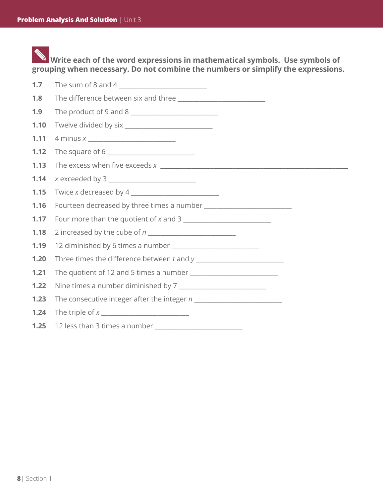**Write each of the word expressions in mathematical symbols. Use symbols of grouping when necessary. Do not combine the numbers or simplify the expressions.**

| 1.7  |                                        |
|------|----------------------------------------|
| 1.8  |                                        |
| 1.9  |                                        |
| 1.10 |                                        |
| 1.11 |                                        |
| 1.12 |                                        |
| 1.13 |                                        |
| 1.14 |                                        |
| 1.15 |                                        |
| 1.16 |                                        |
| 1.17 | Four more than the quotient of x and 3 |
| 1.18 |                                        |
| 1.19 |                                        |
| 1.20 |                                        |
| 1.21 |                                        |
| 1.22 |                                        |
| 1.23 |                                        |
| 1.24 |                                        |
| 1.25 |                                        |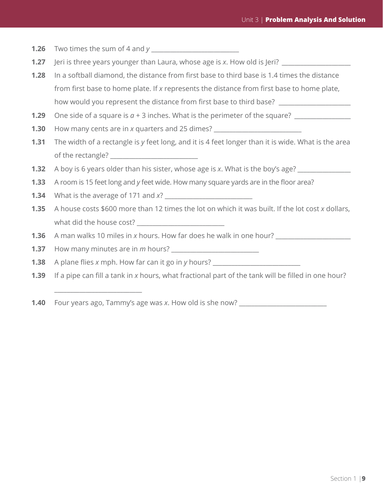**1.26** Two times the sum of 4 and *y* 

- **1.27** Jeri is three years younger than Laura, whose age is x. How old is Jeri?
- **1.28** In a softball diamond, the distance from first base to third base is 1.4 times the distance from first base to home plate. If *x* represents the distance from first base to home plate, how would you represent the distance from first base to third base?
- **1.29** One side of a square is  $a + 3$  inches. What is the perimeter of the square?
- **1.30** How many cents are in *x* quarters and 25 dimes?
- **1.31** The width of a rectangle is *y* feet long, and it is 4 feet longer than it is wide. What is the area of the rectangle?
- **1.32** A boy is 6 years older than his sister, whose age is *x*. What is the boy's age?
- **1.33** A room is 15 feet long and *y* feet wide. How many square yards are in the floor area?
- **1.34** What is the average of 171 and *x*?

\_\_\_\_\_\_\_\_\_\_\_\_\_\_\_\_\_\_\_\_\_\_\_\_\_\_\_\_

- **1.35** A house costs \$600 more than 12 times the lot on which it was built. If the lot cost *x* dollars, what did the house cost?
- **1.36** A man walks 10 miles in *x* hours. How far does he walk in one hour?

**1.37** How many minutes are in *m* hours?

**1.38** A plane flies *x* mph. How far can it go in *y* hours?

- **1.39** If a pipe can fill a tank in *x* hours, what fractional part of the tank will be filled in one hour?
- **1.40** Four years ago, Tammy's age was *x*. How old is she now?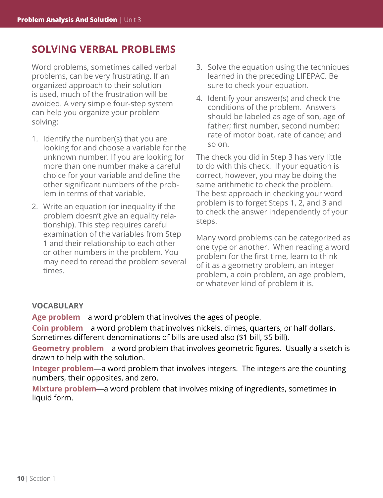### **SOLVING VERBAL PROBLEMS**

Word problems, sometimes called verbal problems, can be very frustrating. If an organized approach to their solution is used, much of the frustration will be avoided. A very simple four-step system can help you organize your problem solving:

- 1. Identify the number(s) that you are looking for and choose a variable for the unknown number. If you are looking for more than one number make a careful choice for your variable and define the other significant numbers of the problem in terms of that variable.
- 2. Write an equation (or inequality if the problem doesn't give an equality relationship). This step requires careful examination of the variables from Step 1 and their relationship to each other or other numbers in the problem. You may need to reread the problem several times.
- 3. Solve the equation using the techniques learned in the preceding LIFEPAC. Be sure to check your equation.
- 4. Identify your answer(s) and check the conditions of the problem. Answers should be labeled as age of son, age of father; first number, second number; rate of motor boat, rate of canoe; and so on.

The check you did in Step 3 has very little to do with this check. If your equation is correct, however, you may be doing the same arithmetic to check the problem. The best approach in checking your word problem is to forget Steps 1, 2, and 3 and to check the answer independently of your steps.

Many word problems can be categorized as one type or another. When reading a word problem for the first time, learn to think of it as a geometry problem, an integer problem, a coin problem, an age problem, or whatever kind of problem it is.

#### **VOCABULARY**

**Age problem**—a word problem that involves the ages of people.

**Coin problem**—a word problem that involves nickels, dimes, quarters, or half dollars. Sometimes different denominations of bills are used also (\$1 bill, \$5 bill).

**Geometry problem**—a word problem that involves geometric figures. Usually a sketch is drawn to help with the solution.

**Integer problem**—a word problem that involves integers. The integers are the counting numbers, their opposites, and zero.

**Mixture problem**—a word problem that involves mixing of ingredients, sometimes in liquid form.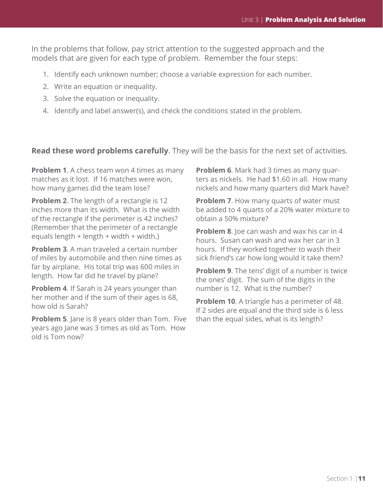In the problems that follow, pay strict attention to the suggested approach and the models that are given for each type of problem. Remember the four steps:

- 1. Identify each unknown number; choose a variable expression for each number.
- 2. Write an equation or inequality.
- 3. Solve the equation or inequality.
- 4. Identify and label answer(s), and check the conditions stated in the problem.

**Read these word problems carefully**. They will be the basis for the next set of activities.

**Problem 1.** A chess team won 4 times as many matches as it lost. If 16 matches were won, how many games did the team lose?

**Problem 2**. The length of a rectangle is 12 inches more than its width. What is the width of the rectangle if the perimeter is 42 inches? (Remember that the perimeter of a rectangle equals length + length + width + width.)

**Problem 3**. A man traveled a certain number of miles by automobile and then nine times as far by airplane. His total trip was 600 miles in length. How far did he travel by plane?

**Problem 4**. If Sarah is 24 years younger than her mother and if the sum of their ages is 68, how old is Sarah?

**Problem 5.** Jane is 8 years older than Tom. Five years ago Jane was 3 times as old as Tom. How old is Tom now?

**Problem 6**. Mark had 3 times as many quarters as nickels. He had \$1.60 in all. How many nickels and how many quarters did Mark have?

**Problem 7**. How many quarts of water must be added to 4 quarts of a 20% water mixture to obtain a 50% mixture?

**Problem 8**. Joe can wash and wax his car in 4 hours. Susan can wash and wax her car in 3 hours. If they worked together to wash their sick friend's car how long would it take them?

**Problem 9**. The tens' digit of a number is twice the ones' digit. The sum of the digits in the number is 12. What is the number?

**Problem 10**. A triangle has a perimeter of 48. If 2 sides are equal and the third side is 6 less than the equal sides, what is its length?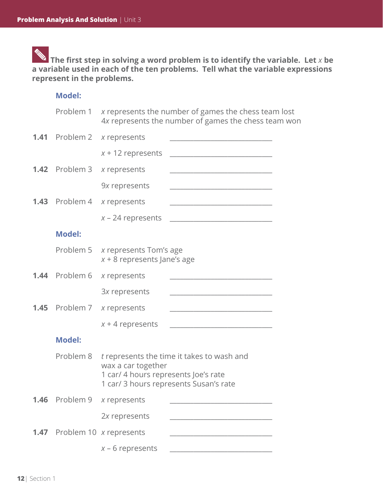**The first step in solving a word problem is to identify the variable. Let** *x* **be a variable used in each of the ten problems. Tell what the variable expressions represent in the problems.**

### **Model:**

|      | Problem 1             | x represents the number of games the chess team lost<br>4x represents the number of games the chess team won                                       |
|------|-----------------------|----------------------------------------------------------------------------------------------------------------------------------------------------|
|      | 1.41 Problem 2        | x represents<br><u> 1989 - Johann John Harrison, mars and deutscher Amerikaanse kommen</u>                                                         |
|      |                       | $x + 12$ represents<br><u> 1989 - Johann John Stein, marwolaethau (b. 1989)</u>                                                                    |
|      | <b>1.42</b> Problem 3 | x represents                                                                                                                                       |
|      |                       | 9x represents<br><u> 1989 - Johann John Stone, markin film yn y brenin y brenin y brenin y brenin y brenin y brenin y brenin y br</u>              |
|      | 1.43 Problem 4        | x represents<br><u> 2000 - Jan James James Jan James James James James James James James James James James James James James Jam</u>               |
|      |                       | $x - 24$ represents                                                                                                                                |
|      | <b>Model:</b>         |                                                                                                                                                    |
|      |                       | Problem 5 x represents Tom's age<br>$x + 8$ represents Jane's age                                                                                  |
|      | <b>1.44</b> Problem 6 | x represents<br><u> 2000 - Jan James James Barnett, martin de la provincia de la provincia de la provincia de la provincia de la</u>               |
|      |                       | 3x represents<br><u> 1989 - Johann John Stone, mars eta biztanleria (h. 1989).</u>                                                                 |
|      | <b>1.45</b> Problem 7 | x represents<br><u> 1980 - Johann John Stone, mars eta bat eta bat eta bat eta bat ez arteko hamarkada eta bat eta bat eta bat e</u>               |
|      |                       | $x + 4$ represents                                                                                                                                 |
|      | <b>Model:</b>         |                                                                                                                                                    |
|      | Problem 8             | t represents the time it takes to wash and<br>wax a car together<br>1 car/ 4 hours represents Joe's rate<br>1 car/ 3 hours represents Susan's rate |
| 1.46 | Problem 9             | x represents                                                                                                                                       |
|      |                       | 2x represents                                                                                                                                      |
|      |                       | <b>1.47</b> Problem 10 x represents                                                                                                                |
|      |                       | $x - 6$ represents                                                                                                                                 |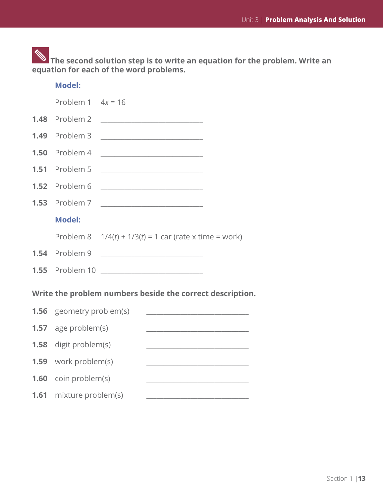**The second solution step is to write an equation for the problem. Write an equation for each of the word problems.**

|      | <b>Model:</b>                                                                                                                                |                                                                                                                      |  |  |  |  |
|------|----------------------------------------------------------------------------------------------------------------------------------------------|----------------------------------------------------------------------------------------------------------------------|--|--|--|--|
|      | Problem $1 \quad 4x = 16$                                                                                                                    |                                                                                                                      |  |  |  |  |
| 1.48 | Problem 2                                                                                                                                    |                                                                                                                      |  |  |  |  |
| 1.49 | Problem 3                                                                                                                                    |                                                                                                                      |  |  |  |  |
| 1.50 | Problem 4                                                                                                                                    |                                                                                                                      |  |  |  |  |
| 1.51 | Problem 5                                                                                                                                    | <u> 1989 - Johann Harry Barn, mars ar breist fan de Fryske kampen oantal fan de Fryske kampen oantal fan de Frys</u> |  |  |  |  |
| 1.52 | Problem 6                                                                                                                                    | <u> 1980 - Johann John Stone, mars eta biztanleria (</u>                                                             |  |  |  |  |
| 1.53 | Problem 7                                                                                                                                    |                                                                                                                      |  |  |  |  |
|      | <b>Model:</b>                                                                                                                                |                                                                                                                      |  |  |  |  |
|      |                                                                                                                                              | Problem 8 $1/4(t) + 1/3(t) = 1$ car (rate x time = work)                                                             |  |  |  |  |
|      | 1.54 Problem 9                                                                                                                               | <u> 1989 - Johann Barbara, martxa alemaniar a</u>                                                                    |  |  |  |  |
|      | <b>1.55</b> Problem 10                                                                                                                       |                                                                                                                      |  |  |  |  |
|      | Write the problem numbers beside the correct description.                                                                                    |                                                                                                                      |  |  |  |  |
| 1.56 | geometry problem(s)<br><u> 1989 - Johann Harry Harry Harry Harry Harry Harry Harry Harry Harry Harry Harry Harry Harry Harry Harry Harry</u> |                                                                                                                      |  |  |  |  |
| 1.57 | age problem(s)<br><u> 1989 - Johann John Stone, mars et al. (</u>                                                                            |                                                                                                                      |  |  |  |  |
| 1.58 | digit problem(s)                                                                                                                             |                                                                                                                      |  |  |  |  |
| 1.59 | work problem(s)                                                                                                                              |                                                                                                                      |  |  |  |  |
| 1.60 | coin problem(s)                                                                                                                              |                                                                                                                      |  |  |  |  |
| 1.61 | mixture problem(s)                                                                                                                           | <u> 1989 - Johann Barn, margaret eta idazlea (h. 1989).</u>                                                          |  |  |  |  |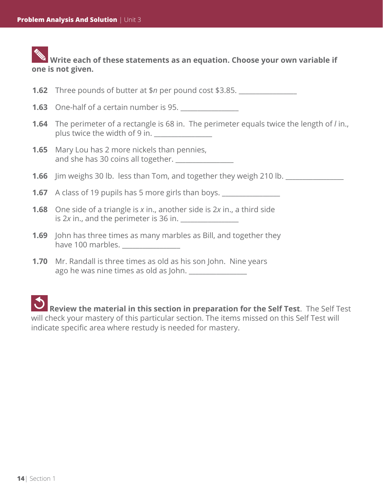### **Write each of these statements as an equation. Choose your own variable if one is not given.**

**1.62** Three pounds of butter at \$*n* per pound cost \$3.85.

- **1.63** One-half of a certain number is 95. <u>\_\_\_\_\_\_\_\_\_\_\_\_</u>
- **1.64** The perimeter of a rectangle is 68 in. The perimeter equals twice the length of *l* in., plus twice the width of 9 in.
- **1.65** Mary Lou has 2 more nickels than pennies, and she has 30 coins all together.
- **1.66** Jim weighs 30 lb. less than Tom, and together they weigh 210 lb.

**1.67** A class of 19 pupils has 5 more girls than boys.

- **1.68** One side of a triangle is *x* in., another side is 2*x* in., a third side is 2x in., and the perimeter is 36 in.
- **1.69** John has three times as many marbles as Bill, and together they have 100 marbles.
- **1.70** Mr. Randall is three times as old as his son John. Nine years ago he was nine times as old as John.

 **Review the material in this section in preparation for the Self Test**. The Self Test will check your mastery of this particular section. The items missed on this Self Test will indicate specific area where restudy is needed for mastery.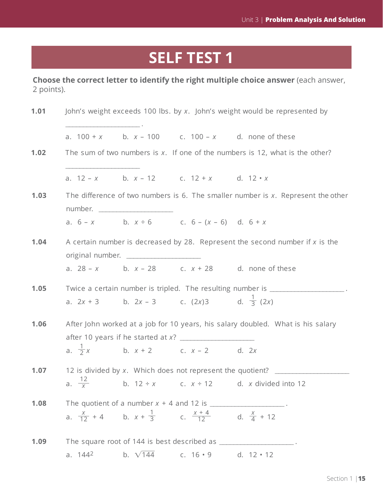# **SELF TEST 1**

**Choose the correct letter to identify the right multiple choice answer** (each answer, 2 points).

| 1.01 | John's weight exceeds 100 lbs. by x. John's weight would be represented by      |                                         |                                                                                      |                                                                                     |  |
|------|---------------------------------------------------------------------------------|-----------------------------------------|--------------------------------------------------------------------------------------|-------------------------------------------------------------------------------------|--|
|      |                                                                                 |                                         |                                                                                      | a. $100 + x$ b. $x - 100$ c. $100 - x$ d. none of these                             |  |
| 1.02 | The sum of two numbers is $x$ . If one of the numbers is 12, what is the other? |                                         |                                                                                      |                                                                                     |  |
|      |                                                                                 |                                         | a. $12 - x$ b. $x - 12$ c. $12 + x$ d. $12 \cdot x$                                  |                                                                                     |  |
| 1.03 |                                                                                 | number. _________________________       |                                                                                      | The difference of two numbers is 6. The smaller number is $x$ . Represent the other |  |
|      |                                                                                 |                                         | a. $6-x$ b. $x \div 6$ c. $6-(x-6)$ d. $6+x$                                         |                                                                                     |  |
| 1.04 |                                                                                 | original number. ______________________ |                                                                                      | A certain number is decreased by 28. Represent the second number if $x$ is the      |  |
|      |                                                                                 |                                         |                                                                                      | a. $28 - x$ b. $x - 28$ c. $x + 28$ d. none of these                                |  |
| 1.05 |                                                                                 |                                         |                                                                                      | Twice a certain number is tripled. The resulting number is ________________         |  |
|      |                                                                                 |                                         | a. $2x + 3$ b. $2x - 3$ c. $(2x)3$ d. $\frac{1}{3}(2x)$                              |                                                                                     |  |
| 1.06 |                                                                                 |                                         |                                                                                      | After John worked at a job for 10 years, his salary doubled. What is his salary     |  |
|      |                                                                                 |                                         | a. $\frac{1}{2}x$ b. $x + 2$ c. $x - 2$ d. 2x                                        |                                                                                     |  |
| 1.07 |                                                                                 |                                         |                                                                                      | 12 is divided by x. Which does not represent the quotient?                          |  |
|      |                                                                                 |                                         |                                                                                      | a. $\frac{12}{x}$ b. 12 ÷ x c. x ÷ 12 d. x divided into 12                          |  |
| 1.08 |                                                                                 |                                         | The quotient of a number $x + 4$ and 12 is ______________________.                   |                                                                                     |  |
|      |                                                                                 |                                         | a. $\frac{x}{12} + 4$ b. $x + \frac{1}{3}$ c. $\frac{x+4}{12}$ d. $\frac{x}{4} + 12$ |                                                                                     |  |
| 1.09 |                                                                                 |                                         |                                                                                      | The square root of 144 is best described as ____________________.                   |  |
|      | a. $144^2$                                                                      | b. $\sqrt{144}$                         | c. $16 \cdot 9$                                                                      | d. $12 \cdot 12$                                                                    |  |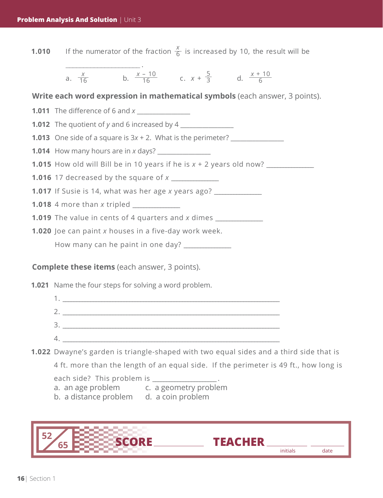**1.021** Name the four steps for solving a word problem. 1.  $\blacksquare$  $2.$ 3.  $4.$ **1.022** Dwayne's garden is triangle-shaped with two equal sides and a third side that is 4 ft. more than the length of an equal side. If the perimeter is 49 ft., how long is each side? This problem is \_\_\_\_\_\_\_\_\_\_\_\_\_\_\_\_\_\_\_\_\_\_\_ . **Complete these items** (each answer, 3 points). **1.011** The difference of 6 and *x* **1.012** The quotient of *y* and 6 increased by 4 **1.013** One side of a square is  $3x + 2$ . What is the perimeter? **1.014** How many hours are in *x* days? **1.015** How old will Bill be in 10 years if he is  $x + 2$  years old now? **1.016** 17 decreased by the square of *x* \_\_\_\_\_\_\_\_\_\_\_\_\_\_\_\_\_ **1.017** If Susie is 14, what was her age *x* years ago? \_\_\_\_\_\_\_\_\_\_\_\_\_\_\_\_\_ **1.018** 4 more than *x* tripled **1.019** The value in cents of 4 quarters and *x* dimes \_\_\_\_\_\_\_\_\_\_\_\_\_\_\_\_\_ **1.020** Joe can paint *x* houses in a five-day work week. How many can he paint in one day? \_\_\_\_\_\_\_\_\_\_\_\_\_\_\_\_\_ **Write each word expression in mathematical symbols** (each answer, 3 points). **1.010** If the numerator of the fraction  $\frac{x}{6}$  is increased by 10, the result will be \_\_\_\_\_\_\_\_\_\_\_\_\_\_\_\_\_\_\_\_\_ . a.  $\frac{x}{16}$  b.  $\frac{x-10}{16}$  c.  $x + \frac{5}{3}$  d.  $\frac{x+10}{6}$ 5 3 *x* – 10 16 *x* 16 6

- a. an age problem c. a geometry problem
- b. a distance problem d. a coin problem